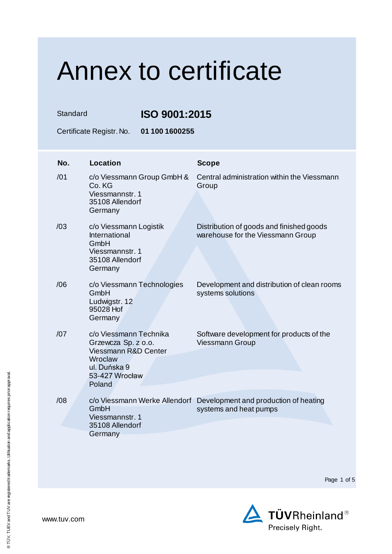Standard **ISO 9001:2015**

Certificate Registr. No. **01 100 1600255**

| No. | <b>Location</b>                                                                                                              | <b>Scope</b>                                                                                  |
|-----|------------------------------------------------------------------------------------------------------------------------------|-----------------------------------------------------------------------------------------------|
| /01 | c/o Viessmann Group GmbH &<br>Co. KG<br>Viessmannstr, 1<br>35108 Allendorf<br>Germany                                        | Central administration within the Viessmann<br>Group                                          |
| /03 | c/o Viessmann Logistik<br>International<br>GmbH<br>Viessmannstr, 1<br>35108 Allendorf<br>Germany                             | Distribution of goods and finished goods<br>warehouse for the Viessmann Group                 |
| /06 | c/o Viessmann Technologies<br>GmbH<br>Ludwigstr. 12<br>95028 Hof<br>Germany                                                  | Development and distribution of clean rooms<br>systems solutions                              |
| /07 | c/o Viessmann Technika<br>Grzewcza Sp. z o.o.<br>Viessmann R&D Center<br>Wroclaw<br>ul. Duńska 9<br>53-427 Wrocław<br>Poland | Software development for products of the<br><b>Viessmann Group</b>                            |
| /08 | GmbH<br>Viessmannstr, 1<br>35108 Allendorf                                                                                   | c/o Viessmann Werke Allendorf Development and production of heating<br>systems and heat pumps |
|     | Germany                                                                                                                      |                                                                                               |

Page 1 of 5

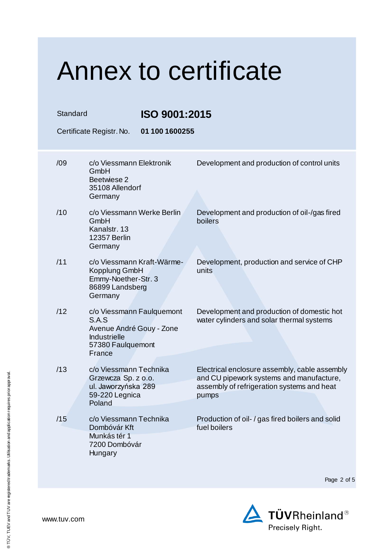| Standard |                                                                                                                      | ISO 9001:2015  |                                                                                                                                                  |  |
|----------|----------------------------------------------------------------------------------------------------------------------|----------------|--------------------------------------------------------------------------------------------------------------------------------------------------|--|
|          | Certificate Registr. No.                                                                                             | 01 100 1600255 |                                                                                                                                                  |  |
| /09      | c/o Viessmann Elektronik<br>GmbH<br>Beetwiese 2<br>35108 Allendorf<br>Germany                                        |                | Development and production of control units                                                                                                      |  |
| /10      | c/o Viessmann Werke Berlin<br>GmbH<br>Kanalstr. 13<br>12357 Berlin<br>Germany                                        |                | Development and production of oil-/gas fired<br>boilers                                                                                          |  |
| /11      | c/o Viessmann Kraft-Wärme-<br>Kopplung GmbH<br>Emmy-Noether-Str. 3<br>86899 Landsberg<br>Germany                     |                | Development, production and service of CHP<br>units                                                                                              |  |
| /12      | c/o Viessmann Faulquemont<br>S.A.S<br>Avenue André Gouy - Zone<br><b>Industrielle</b><br>57380 Faulquemont<br>France |                | Development and production of domestic hot<br>water cylinders and solar thermal systems                                                          |  |
| /13      | c/o Viessmann Technika<br>Grzewcza Sp. z o.o.<br>ul. Jaworzyńska 289<br>59-220 Legnica<br>Poland                     |                | Electrical enclosure assembly, cable assembly<br>and CU pipework systems and manufacture,<br>assembly of refrigeration systems and heat<br>pumps |  |
| /15      | c/o Viessmann Technika<br>Dombóvár Kft<br>Munkás tér 1<br>7200 Dombóvár<br>Hungary                                   |                | Production of oil- / gas fired boilers and solid<br>fuel boilers                                                                                 |  |

Page 2 of 5

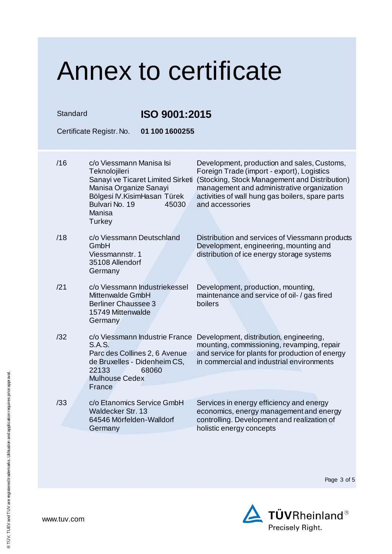| Standard |                                                                                                                                            | ISO 9001:2015                                                            |                                                                                                                                                                                                                                                                 |  |
|----------|--------------------------------------------------------------------------------------------------------------------------------------------|--------------------------------------------------------------------------|-----------------------------------------------------------------------------------------------------------------------------------------------------------------------------------------------------------------------------------------------------------------|--|
|          | Certificate Registr. No.                                                                                                                   | 01 100 1600255                                                           |                                                                                                                                                                                                                                                                 |  |
| /16      | c/o Viessmann Manisa Isi<br>Teknolojileri<br>Manisa Organize Sanayi<br>Bölgesi IV. Kisim Hasan Türek<br>Bulvari No. 19<br>Manisa<br>Turkey | Sanayi ve Ticaret Limited Sirketi<br>45030                               | Development, production and sales, Customs,<br>Foreign Trade (import - export), Logistics<br>(Stocking, Stock Management and Distribution)<br>management and administrative organization<br>activities of wall hung gas boilers, spare parts<br>and accessories |  |
| /18      | c/o Viessmann Deutschland<br>GmbH<br>Viessmannstr, 1<br>35108 Allendorf<br>Germany                                                         |                                                                          | Distribution and services of Viessmann products<br>Development, engineering, mounting and<br>distribution of ice energy storage systems                                                                                                                         |  |
| /21      | Mittenwalde GmbH<br><b>Berliner Chaussee 3</b><br>15749 Mittenwalde<br>Germany                                                             | c/o Viessmann Industriekessel                                            | Development, production, mounting,<br>maintenance and service of oil- / gas fired<br>boilers                                                                                                                                                                    |  |
| /32      | <b>S.A.S.</b><br>de Bruxelles - Didenheim CS,<br>22133<br><b>Mulhouse Cedex</b><br>France                                                  | c/o Viessmann Industrie France<br>Parc des Collines 2, 6 Avenue<br>68060 | Development, distribution, engineering,<br>mounting, commissioning, revamping, repair<br>and service for plants for production of energy<br>in commercial and industrial environments                                                                           |  |
| /33      | c/o Etanomics Service GmbH<br>Waldecker Str. 13<br>64546 Mörfelden-Walldorf<br>Germany                                                     |                                                                          | Services in energy efficiency and energy<br>economics, energy management and energy<br>controlling. Development and realization of<br>holistic energy concepts                                                                                                  |  |

Page 3 of 5

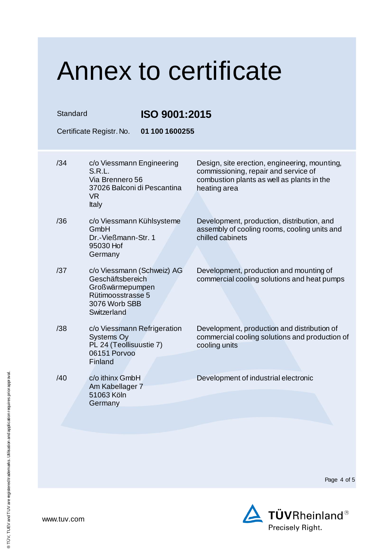#### Annex to certificate Standard **ISO 9001:2015** Certificate Registr. No. **01 100 1600255** /34 c/o Viessmann Engineering S.R.L. Via Brennero 56 37026 Balconi di Pescantina VR Italy Design, site erection, engineering, mounting, commissioning, repair and service of combustion plants as well as plants in the heating area /36 c/o Viessmann Kühlsysteme GmbH Dr.-Vießmann-Str. 1 95030 Hof **Germany** Development, production, distribution, and assembly of cooling rooms, cooling units and chilled cabinets /37 c/o Viessmann (Schweiz) AG Geschäftsbereich Großwärmepumpen Rütimoosstrasse 5 3076 Worb SBB **Switzerland** Development, production and mounting of commercial cooling solutions and heat pumps /38 c/o Viessmann Refrigeration Systems Oy PL 24 (Teollisuustie 7) 06151 Porvoo Finland Development, production and distribution of commercial cooling solutions and production of cooling units /40 c/o ithinx GmbH Am Kabellager 7 51063 Köln **Germany** Development of industrial electronic



www.tuv.com